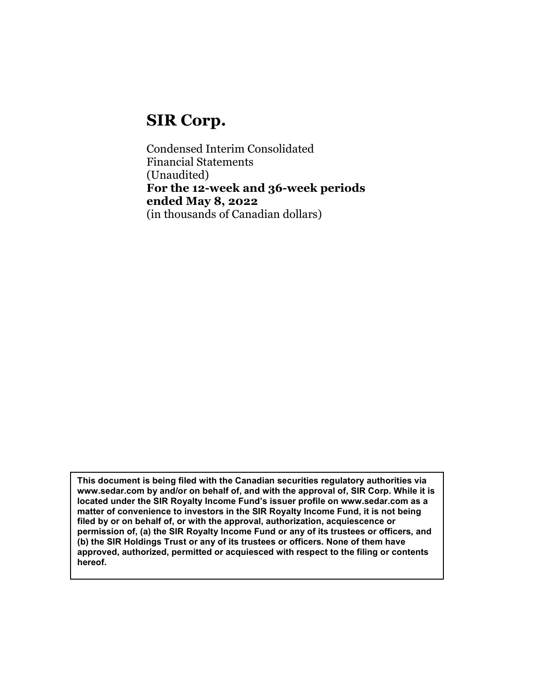# SIR Corp.

Condensed Interim Consolidated Financial Statements (Unaudited) For the 12-week and 36-week periods ended May 8, 2022 (in thousands of Canadian dollars)

This document is being filed with the Canadian securities regulatory authorities via www.sedar.com by and/or on behalf of, and with the approval of, SIR Corp. While it is located under the SIR Royalty Income Fund's issuer profile on www.sedar.com as a matter of convenience to investors in the SIR Royalty Income Fund, it is not being filed by or on behalf of, or with the approval, authorization, acquiescence or permission of, (a) the SIR Royalty Income Fund or any of its trustees or officers, and (b) the SIR Holdings Trust or any of its trustees or officers. None of them have approved, authorized, permitted or acquiesced with respect to the filing or contents hereof.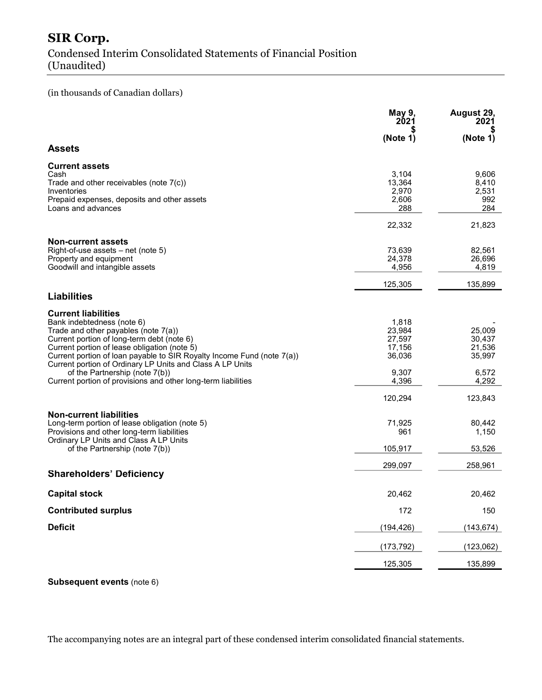## SIR Corp. Condensed Interim Consolidated Statements of Financial Position (Unaudited)

#### (in thousands of Canadian dollars)

|                                                                                                                                                                                     | May 9,<br>2021                           | August 29,<br>2021                    |
|-------------------------------------------------------------------------------------------------------------------------------------------------------------------------------------|------------------------------------------|---------------------------------------|
|                                                                                                                                                                                     | (Note 1)                                 | (Note 1)                              |
| <b>Assets</b>                                                                                                                                                                       |                                          |                                       |
| <b>Current assets</b><br>Cash<br>Trade and other receivables (note $7(c)$ )<br>Inventories<br>Prepaid expenses, deposits and other assets<br>Loans and advances                     | 3,104<br>13,364<br>2,970<br>2,606<br>288 | 9,606<br>8,410<br>2,531<br>992<br>284 |
|                                                                                                                                                                                     | 22,332                                   | 21,823                                |
| <b>Non-current assets</b><br>Right-of-use assets - net (note 5)<br>Property and equipment<br>Goodwill and intangible assets                                                         | 73,639<br>24,378<br>4,956                | 82,561<br>26,696<br>4,819             |
| <b>Liabilities</b>                                                                                                                                                                  | 125,305                                  | 135,899                               |
| <b>Current liabilities</b><br>Bank indebtedness (note 6)<br>Trade and other payables (note 7(a))<br>Current portion of long-term debt (note 6)                                      | 1,818<br>23,984<br>27,597                | 25,009<br>30,437                      |
| Current portion of lease obligation (note 5)<br>Current portion of loan payable to SIR Royalty Income Fund (note 7(a))<br>Current portion of Ordinary LP Units and Class A LP Units | 17,156<br>36,036                         | 21,536<br>35,997                      |
| of the Partnership (note 7(b))<br>Current portion of provisions and other long-term liabilities                                                                                     | 9,307<br>4,396                           | 6,572<br>4,292                        |
|                                                                                                                                                                                     | 120,294                                  | 123,843                               |
| <b>Non-current liabilities</b><br>Long-term portion of lease obligation (note 5)<br>Provisions and other long-term liabilities<br>Ordinary LP Units and Class A LP Units            | 71,925<br>961                            | 80,442<br>1,150                       |
| of the Partnership (note 7(b))                                                                                                                                                      | 105,917                                  | 53,526                                |
| <b>Shareholders' Deficiency</b>                                                                                                                                                     | 299,097                                  | 258,961                               |
| <b>Capital stock</b>                                                                                                                                                                | 20,462                                   | 20,462                                |
| <b>Contributed surplus</b>                                                                                                                                                          | 172                                      | 150                                   |
| <b>Deficit</b>                                                                                                                                                                      | (194, 426)                               | (143, 674)                            |
|                                                                                                                                                                                     | (173, 792)                               | (123,062)                             |
|                                                                                                                                                                                     | 125,305                                  | 135,899                               |

Subsequent events (note 6)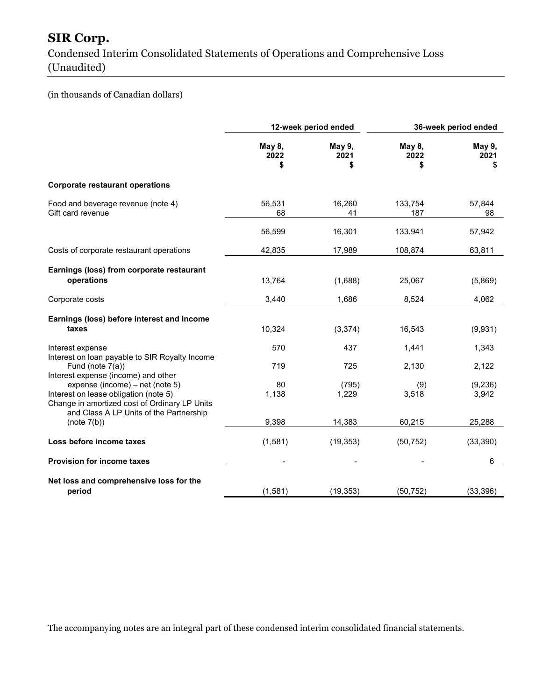## SIR Corp.

Condensed Interim Consolidated Statements of Operations and Comprehensive Loss (Unaudited)

### (in thousands of Canadian dollars)

|                                                                                                                                                                      | 12-week period ended |                     | 36-week period ended |                      |
|----------------------------------------------------------------------------------------------------------------------------------------------------------------------|----------------------|---------------------|----------------------|----------------------|
|                                                                                                                                                                      | May 8,<br>2022<br>\$ | May 9,<br>2021<br>S | May 8,<br>2022<br>\$ | May 9,<br>2021<br>\$ |
| <b>Corporate restaurant operations</b>                                                                                                                               |                      |                     |                      |                      |
| Food and beverage revenue (note 4)<br>Gift card revenue                                                                                                              | 56,531<br>68         | 16,260<br>41        | 133,754<br>187       | 57,844<br>98         |
|                                                                                                                                                                      | 56,599               | 16,301              | 133,941              | 57,942               |
| Costs of corporate restaurant operations                                                                                                                             | 42,835               | 17,989              | 108,874              | 63,811               |
| Earnings (loss) from corporate restaurant<br>operations                                                                                                              | 13,764               | (1,688)             | 25,067               | (5,869)              |
| Corporate costs                                                                                                                                                      | 3,440                | 1,686               | 8,524                | 4,062                |
| Earnings (loss) before interest and income<br>taxes                                                                                                                  | 10,324               | (3, 374)            | 16,543               | (9,931)              |
| Interest expense<br>Interest on loan payable to SIR Royalty Income                                                                                                   | 570                  | 437                 | 1,441                | 1,343                |
| Fund (note 7(a))<br>Interest expense (income) and other                                                                                                              | 719                  | 725                 | 2,130                | 2,122                |
| expense (income) - net (note 5)<br>Interest on lease obligation (note 5)<br>Change in amortized cost of Ordinary LP Units<br>and Class A LP Units of the Partnership | 80<br>1,138          | (795)<br>1,229      | (9)<br>3,518         | (9, 236)<br>3,942    |
| (note 7(b))                                                                                                                                                          | 9,398                | 14,383              | 60,215               | 25,288               |
| Loss before income taxes                                                                                                                                             | (1,581)              | (19, 353)           | (50, 752)            | (33, 390)            |
| <b>Provision for income taxes</b>                                                                                                                                    |                      |                     |                      | 6                    |
| Net loss and comprehensive loss for the<br>period                                                                                                                    | (1,581)              | (19, 353)           | (50, 752)            | (33, 396)            |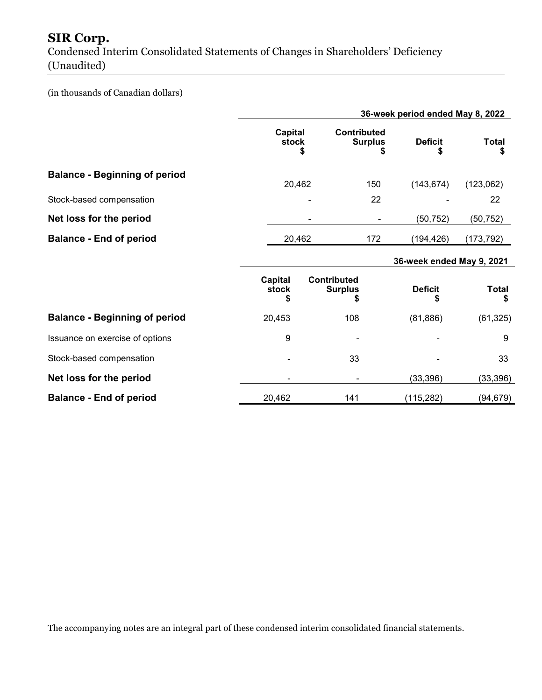## SIR Corp.

Condensed Interim Consolidated Statements of Changes in Shareholders' Deficiency (Unaudited)

#### (in thousands of Canadian dollars)

|                                      |                        |                    |                                      | 36-week period ended May 8, 2022 |                    |
|--------------------------------------|------------------------|--------------------|--------------------------------------|----------------------------------|--------------------|
|                                      | Capital<br>stock       | S                  | <b>Contributed</b><br><b>Surplus</b> | <b>Deficit</b><br>S              | <b>Total</b><br>S  |
| <b>Balance - Beginning of period</b> | 20,462                 |                    | 150                                  | (143, 674)                       | (123,062)          |
| Stock-based compensation             |                        |                    | 22                                   |                                  | 22                 |
| Net loss for the period              |                        |                    |                                      | (50, 752)                        | (50,752)           |
| <b>Balance - End of period</b>       | 20,462                 |                    | 172                                  | (194, 426)                       | (173,792)          |
|                                      |                        |                    |                                      | 36-week ended May 9, 2021        |                    |
|                                      | Capital<br>stock<br>\$ | <b>Contributed</b> | <b>Surplus</b><br>\$                 | <b>Deficit</b><br>S              | <b>Total</b><br>\$ |
| <b>Balance - Beginning of period</b> | 20,453                 |                    | 108                                  | (81, 886)                        | (61, 325)          |
| Issuance on exercise of options      | 9                      |                    |                                      |                                  | 9                  |
| Stock-based compensation             |                        |                    | 33                                   |                                  | 33                 |
| Net loss for the period              |                        |                    |                                      | (33, 396)                        | (33, 396)          |
| <b>Balance - End of period</b>       | 20,462                 |                    | 141                                  | (115, 282)                       | (94, 679)          |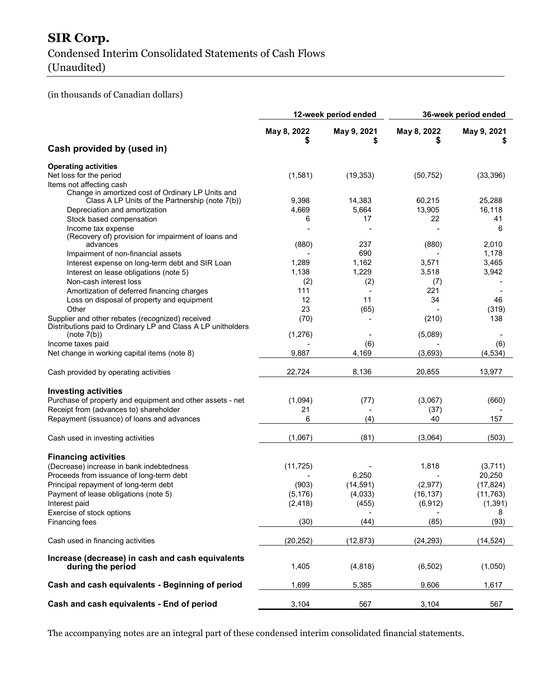## SIR Corp. Condensed Interim Consolidated Statements of Cash Flows (Unaudited)

(in thousands of Canadian dollars)

|                                                                 | 12-week period ended |             | 36-week period ended |                  |  |
|-----------------------------------------------------------------|----------------------|-------------|----------------------|------------------|--|
|                                                                 | May 8, 2022          | May 9, 2021 | May 8, 2022          | May 9, 2021<br>S |  |
| Cash provided by (used in)                                      |                      |             |                      |                  |  |
| <b>Operating activities</b>                                     |                      |             |                      |                  |  |
| Net loss for the period                                         | (1,581)              | (19, 353)   | (50, 752)            | (33, 396)        |  |
| Items not affecting cash                                        |                      |             |                      |                  |  |
| Change in amortized cost of Ordinary LP Units and               |                      |             |                      |                  |  |
| Class A LP Units of the Partnership (note 7(b))                 | 9,398                | 14,383      | 60,215               | 25,288           |  |
| Depreciation and amortization                                   | 4,669                | 5,664       | 13,905               | 16,118           |  |
| Stock based compensation                                        | 6                    | 17          | 22                   | 41               |  |
| Income tax expense                                              |                      |             |                      | 6                |  |
| (Recovery of) provision for impairment of loans and<br>advances | (880)                | 237         | (880)                | 2,010            |  |
| Impairment of non-financial assets                              |                      | 690         |                      | 1,178            |  |
| Interest expense on long-term debt and SIR Loan                 | 1,289                | 1,162       | 3,571                | 3,465            |  |
| Interest on lease obligations (note 5)                          | 1,138                | 1,229       | 3,518                | 3,942            |  |
| Non-cash interest loss                                          | (2)                  | (2)         | (7)                  |                  |  |
| Amortization of deferred financing charges                      | 111                  |             | 221                  |                  |  |
| Loss on disposal of property and equipment                      | 12                   | 11          | 34                   | 46               |  |
| Other                                                           | 23                   | (65)        |                      | (319)            |  |
| Supplier and other rebates (recognized) received                | (70)                 |             | (210)                | 138              |  |
| Distributions paid to Ordinary LP and Class A LP unitholders    |                      |             |                      |                  |  |
| (note 7(b))                                                     | (1, 276)             |             | (5,089)              |                  |  |
| Income taxes paid                                               |                      | (6)         |                      | (6)              |  |
| Net change in working capital items (note 8)                    | 9,887                | 4,169       | (3,693)              | (4, 534)         |  |
|                                                                 |                      |             |                      |                  |  |
| Cash provided by operating activities                           | 22,724               | 8,136       | 20,855               | 13,977           |  |
| <b>Investing activities</b>                                     |                      |             |                      |                  |  |
| Purchase of property and equipment and other assets - net       | (1,094)              | (77)        | (3,067)              | (660)            |  |
| Receipt from (advances to) shareholder                          | 21                   |             | (37)                 |                  |  |
| Repayment (issuance) of loans and advances                      | 6                    | (4)         | 40                   | 157              |  |
|                                                                 |                      |             |                      |                  |  |
| Cash used in investing activities                               | (1,067)              | (81)        | (3,064)              | (503)            |  |
| <b>Financing activities</b>                                     |                      |             |                      |                  |  |
| (Decrease) increase in bank indebtedness                        | (11, 725)            |             | 1,818                | (3,711)          |  |
| Proceeds from issuance of long-term debt                        |                      | 6,250       |                      | 20,250           |  |
| Principal repayment of long-term debt                           | (903)                | (14, 591)   | (2, 977)             | (17, 824)        |  |
| Payment of lease obligations (note 5)                           | (5, 176)             | (4,033)     | (16, 137)            | (11, 763)        |  |
| Interest paid                                                   | (2, 418)             | (455)       | (6, 912)             | (1, 391)         |  |
| Exercise of stock options                                       |                      |             |                      | 8                |  |
| Financing fees                                                  | (30)                 | (44)        | (85)                 | (93)             |  |
|                                                                 |                      |             |                      |                  |  |
| Cash used in financing activities                               | (20, 252)            | (12, 873)   | (24, 293)            | (14, 524)        |  |
| Increase (decrease) in cash and cash equivalents                |                      |             |                      |                  |  |
| during the period                                               | 1,405                | (4,818)     | (6, 502)             | (1,050)          |  |
|                                                                 |                      |             |                      |                  |  |
| Cash and cash equivalents - Beginning of period                 | 1,699                | 5,385       | 9,606                | 1,617            |  |
|                                                                 |                      |             |                      |                  |  |
| Cash and cash equivalents - End of period                       | 3,104                | 567         | 3,104                | 567              |  |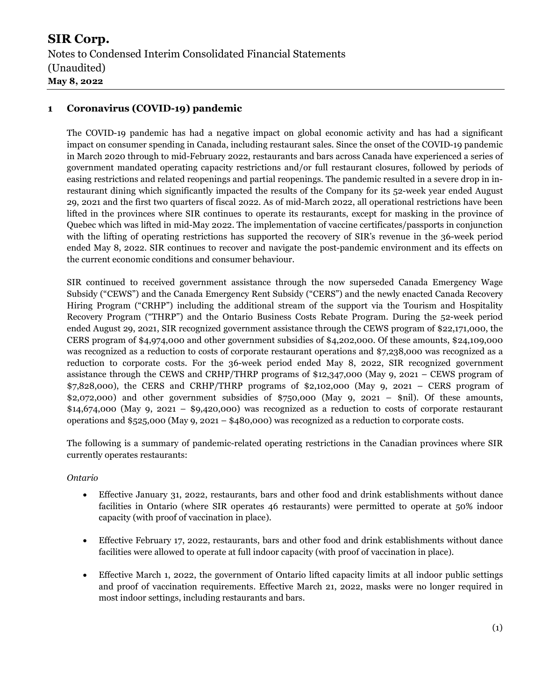#### 1 Coronavirus (COVID-19) pandemic

The COVID-19 pandemic has had a negative impact on global economic activity and has had a significant impact on consumer spending in Canada, including restaurant sales. Since the onset of the COVID-19 pandemic in March 2020 through to mid-February 2022, restaurants and bars across Canada have experienced a series of government mandated operating capacity restrictions and/or full restaurant closures, followed by periods of easing restrictions and related reopenings and partial reopenings. The pandemic resulted in a severe drop in inrestaurant dining which significantly impacted the results of the Company for its 52-week year ended August 29, 2021 and the first two quarters of fiscal 2022. As of mid-March 2022, all operational restrictions have been lifted in the provinces where SIR continues to operate its restaurants, except for masking in the province of Quebec which was lifted in mid-May 2022. The implementation of vaccine certificates/passports in conjunction with the lifting of operating restrictions has supported the recovery of SIR's revenue in the 36-week period ended May 8, 2022. SIR continues to recover and navigate the post-pandemic environment and its effects on the current economic conditions and consumer behaviour.

SIR continued to received government assistance through the now superseded Canada Emergency Wage Subsidy ("CEWS") and the Canada Emergency Rent Subsidy ("CERS") and the newly enacted Canada Recovery Hiring Program ("CRHP") including the additional stream of the support via the Tourism and Hospitality Recovery Program ("THRP") and the Ontario Business Costs Rebate Program. During the 52-week period ended August 29, 2021, SIR recognized government assistance through the CEWS program of \$22,171,000, the CERS program of \$4,974,000 and other government subsidies of \$4,202,000. Of these amounts, \$24,109,000 was recognized as a reduction to costs of corporate restaurant operations and \$7,238,000 was recognized as a reduction to corporate costs. For the 36-week period ended May 8, 2022, SIR recognized government assistance through the CEWS and CRHP/THRP programs of \$12,347,000 (May 9, 2021 – CEWS program of \$7,828,000), the CERS and CRHP/THRP programs of \$2,102,000 (May 9, 2021 – CERS program of  $$2,072,000$  and other government subsidies of  $$750,000$  (May 9, 2021 – \$nil). Of these amounts,  $$14,674,000$  (May 9, 2021 –  $$9,420,000$ ) was recognized as a reduction to costs of corporate restaurant operations and \$525,000 (May 9, 2021 – \$480,000) was recognized as a reduction to corporate costs.

The following is a summary of pandemic-related operating restrictions in the Canadian provinces where SIR currently operates restaurants:

#### Ontario

- Effective January 31, 2022, restaurants, bars and other food and drink establishments without dance facilities in Ontario (where SIR operates 46 restaurants) were permitted to operate at 50% indoor capacity (with proof of vaccination in place).
- Effective February 17, 2022, restaurants, bars and other food and drink establishments without dance facilities were allowed to operate at full indoor capacity (with proof of vaccination in place).
- Effective March 1, 2022, the government of Ontario lifted capacity limits at all indoor public settings and proof of vaccination requirements. Effective March 21, 2022, masks were no longer required in most indoor settings, including restaurants and bars.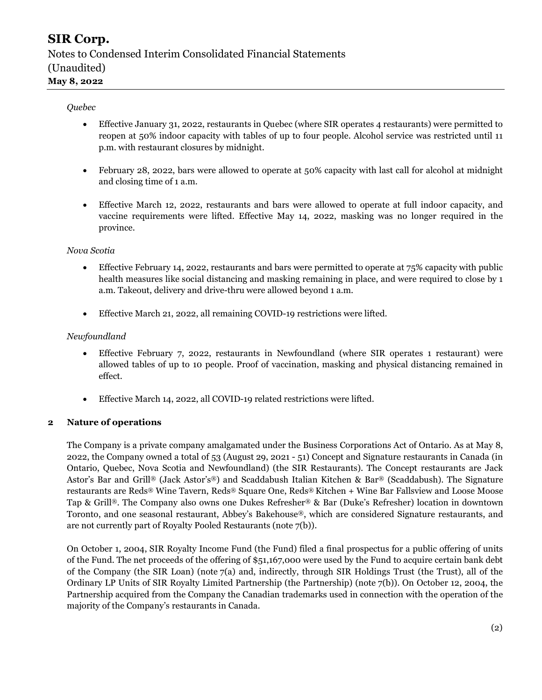#### Quebec

- Effective January 31, 2022, restaurants in Quebec (where SIR operates 4 restaurants) were permitted to reopen at 50% indoor capacity with tables of up to four people. Alcohol service was restricted until 11 p.m. with restaurant closures by midnight.
- February 28, 2022, bars were allowed to operate at 50% capacity with last call for alcohol at midnight and closing time of 1 a.m.
- Effective March 12, 2022, restaurants and bars were allowed to operate at full indoor capacity, and vaccine requirements were lifted. Effective May 14, 2022, masking was no longer required in the province.

#### Nova Scotia

- Effective February 14, 2022, restaurants and bars were permitted to operate at 75% capacity with public health measures like social distancing and masking remaining in place, and were required to close by 1 a.m. Takeout, delivery and drive-thru were allowed beyond 1 a.m.
- Effective March 21, 2022, all remaining COVID-19 restrictions were lifted.

#### Newfoundland

- Effective February 7, 2022, restaurants in Newfoundland (where SIR operates 1 restaurant) were allowed tables of up to 10 people. Proof of vaccination, masking and physical distancing remained in effect.
- Effective March 14, 2022, all COVID-19 related restrictions were lifted.

#### 2 Nature of operations

The Company is a private company amalgamated under the Business Corporations Act of Ontario. As at May 8, 2022, the Company owned a total of 53 (August 29, 2021 - 51) Concept and Signature restaurants in Canada (in Ontario, Quebec, Nova Scotia and Newfoundland) (the SIR Restaurants). The Concept restaurants are Jack Astor's Bar and Grill® (Jack Astor's®) and Scaddabush Italian Kitchen & Bar® (Scaddabush). The Signature restaurants are Reds® Wine Tavern, Reds® Square One, Reds® Kitchen + Wine Bar Fallsview and Loose Moose Tap & Grill®. The Company also owns one Dukes Refresher® & Bar (Duke's Refresher) location in downtown Toronto, and one seasonal restaurant, Abbey's Bakehouse®, which are considered Signature restaurants, and are not currently part of Royalty Pooled Restaurants (note 7(b)).

On October 1, 2004, SIR Royalty Income Fund (the Fund) filed a final prospectus for a public offering of units of the Fund. The net proceeds of the offering of \$51,167,000 were used by the Fund to acquire certain bank debt of the Company (the SIR Loan) (note 7(a) and, indirectly, through SIR Holdings Trust (the Trust), all of the Ordinary LP Units of SIR Royalty Limited Partnership (the Partnership) (note 7(b)). On October 12, 2004, the Partnership acquired from the Company the Canadian trademarks used in connection with the operation of the majority of the Company's restaurants in Canada.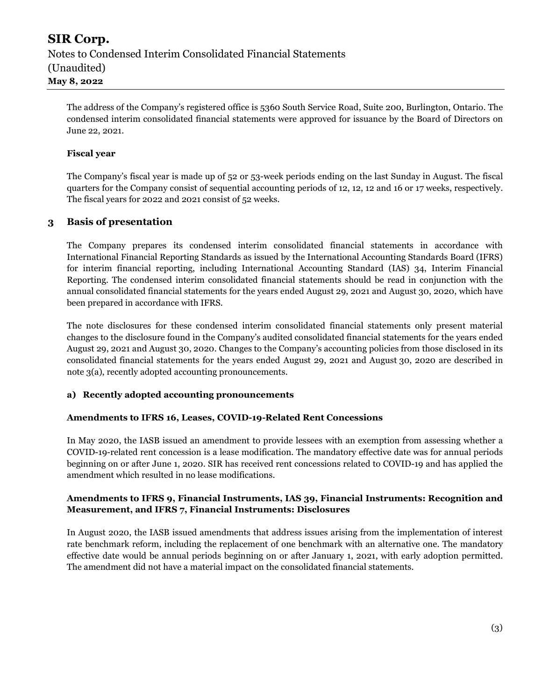The address of the Company's registered office is 5360 South Service Road, Suite 200, Burlington, Ontario. The condensed interim consolidated financial statements were approved for issuance by the Board of Directors on June 22, 2021.

#### Fiscal year

The Company's fiscal year is made up of 52 or 53-week periods ending on the last Sunday in August. The fiscal quarters for the Company consist of sequential accounting periods of 12, 12, 12 and 16 or 17 weeks, respectively. The fiscal years for 2022 and 2021 consist of 52 weeks.

#### 3 Basis of presentation

The Company prepares its condensed interim consolidated financial statements in accordance with International Financial Reporting Standards as issued by the International Accounting Standards Board (IFRS) for interim financial reporting, including International Accounting Standard (IAS) 34, Interim Financial Reporting. The condensed interim consolidated financial statements should be read in conjunction with the annual consolidated financial statements for the years ended August 29, 2021 and August 30, 2020, which have been prepared in accordance with IFRS.

The note disclosures for these condensed interim consolidated financial statements only present material changes to the disclosure found in the Company's audited consolidated financial statements for the years ended August 29, 2021 and August 30, 2020. Changes to the Company's accounting policies from those disclosed in its consolidated financial statements for the years ended August 29, 2021 and August 30, 2020 are described in note 3(a), recently adopted accounting pronouncements.

#### a) Recently adopted accounting pronouncements

#### Amendments to IFRS 16, Leases, COVID-19-Related Rent Concessions

In May 2020, the IASB issued an amendment to provide lessees with an exemption from assessing whether a COVID-19-related rent concession is a lease modification. The mandatory effective date was for annual periods beginning on or after June 1, 2020. SIR has received rent concessions related to COVID-19 and has applied the amendment which resulted in no lease modifications.

#### Amendments to IFRS 9, Financial Instruments, IAS 39, Financial Instruments: Recognition and Measurement, and IFRS 7, Financial Instruments: Disclosures

In August 2020, the IASB issued amendments that address issues arising from the implementation of interest rate benchmark reform, including the replacement of one benchmark with an alternative one. The mandatory effective date would be annual periods beginning on or after January 1, 2021, with early adoption permitted. The amendment did not have a material impact on the consolidated financial statements.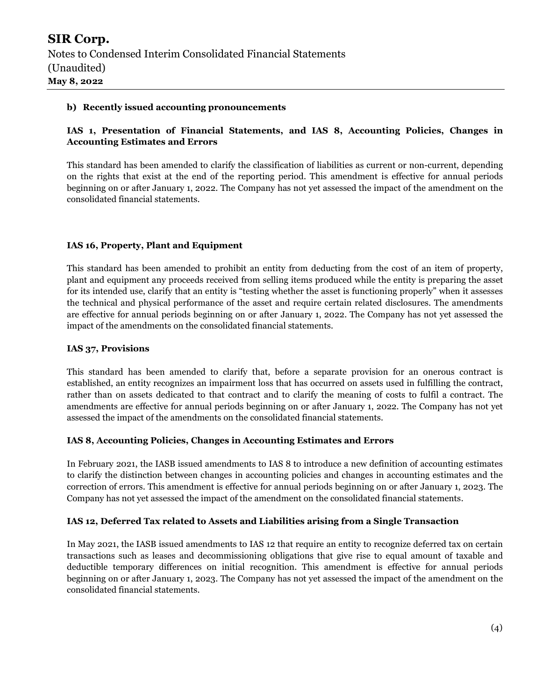#### b) Recently issued accounting pronouncements

#### IAS 1, Presentation of Financial Statements, and IAS 8, Accounting Policies, Changes in Accounting Estimates and Errors

This standard has been amended to clarify the classification of liabilities as current or non-current, depending on the rights that exist at the end of the reporting period. This amendment is effective for annual periods beginning on or after January 1, 2022. The Company has not yet assessed the impact of the amendment on the consolidated financial statements.

#### IAS 16, Property, Plant and Equipment

This standard has been amended to prohibit an entity from deducting from the cost of an item of property, plant and equipment any proceeds received from selling items produced while the entity is preparing the asset for its intended use, clarify that an entity is "testing whether the asset is functioning properly" when it assesses the technical and physical performance of the asset and require certain related disclosures. The amendments are effective for annual periods beginning on or after January 1, 2022. The Company has not yet assessed the impact of the amendments on the consolidated financial statements.

#### IAS 37, Provisions

This standard has been amended to clarify that, before a separate provision for an onerous contract is established, an entity recognizes an impairment loss that has occurred on assets used in fulfilling the contract, rather than on assets dedicated to that contract and to clarify the meaning of costs to fulfil a contract. The amendments are effective for annual periods beginning on or after January 1, 2022. The Company has not yet assessed the impact of the amendments on the consolidated financial statements.

#### IAS 8, Accounting Policies, Changes in Accounting Estimates and Errors

In February 2021, the IASB issued amendments to IAS 8 to introduce a new definition of accounting estimates to clarify the distinction between changes in accounting policies and changes in accounting estimates and the correction of errors. This amendment is effective for annual periods beginning on or after January 1, 2023. The Company has not yet assessed the impact of the amendment on the consolidated financial statements.

#### IAS 12, Deferred Tax related to Assets and Liabilities arising from a Single Transaction

In May 2021, the IASB issued amendments to IAS 12 that require an entity to recognize deferred tax on certain transactions such as leases and decommissioning obligations that give rise to equal amount of taxable and deductible temporary differences on initial recognition. This amendment is effective for annual periods beginning on or after January 1, 2023. The Company has not yet assessed the impact of the amendment on the consolidated financial statements.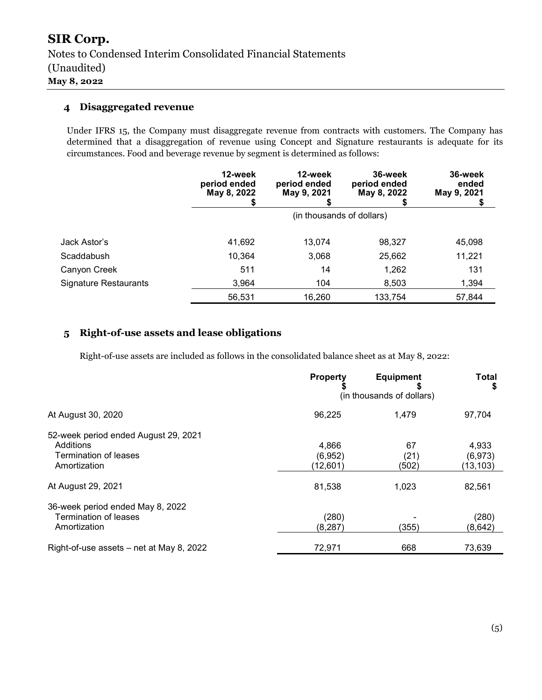#### 4 Disaggregated revenue

Under IFRS 15, the Company must disaggregate revenue from contracts with customers. The Company has determined that a disaggregation of revenue using Concept and Signature restaurants is adequate for its circumstances. Food and beverage revenue by segment is determined as follows:

|                       | 12-week<br>period ended<br>May 8, 2022 | 12-week<br>period ended<br>May 9, 2021 | 36-week<br>period ended<br>May 8, 2022 | 36-week<br>ended<br>May 9, 2021 |
|-----------------------|----------------------------------------|----------------------------------------|----------------------------------------|---------------------------------|
|                       |                                        |                                        | (in thousands of dollars)              |                                 |
| Jack Astor's          | 41,692                                 | 13.074                                 | 98,327                                 | 45,098                          |
| Scaddabush            | 10,364                                 | 3,068                                  | 25,662                                 | 11,221                          |
| Canyon Creek          | 511                                    | 14                                     | 1,262                                  | 131                             |
| Signature Restaurants | 3,964                                  | 104                                    | 8,503                                  | 1,394                           |
|                       | 56,531                                 | 16,260                                 | 133,754                                | 57,844                          |

### 5 Right-of-use assets and lease obligations

Right-of-use assets are included as follows in the consolidated balance sheet as at May 8, 2022:

|                                          | <b>Property</b>           | <b>Equipment</b> | Total<br>S |
|------------------------------------------|---------------------------|------------------|------------|
|                                          | (in thousands of dollars) |                  |            |
| At August 30, 2020                       | 96,225                    | 1.479            | 97,704     |
| 52-week period ended August 29, 2021     |                           |                  |            |
| Additions                                | 4,866                     | 67               | 4,933      |
| Termination of leases                    | (6,952)                   | (21)             | (6, 973)   |
| Amortization                             | (12,601)                  | (502)            | (13,103)   |
| At August 29, 2021                       | 81,538                    | 1,023            | 82,561     |
| 36-week period ended May 8, 2022         |                           |                  |            |
| Termination of leases                    | (280)                     |                  | (280)      |
| Amortization                             | (8, 287)                  | (355)            | (8,642)    |
| Right-of-use assets – net at May 8, 2022 | 72,971                    | 668              | 73,639     |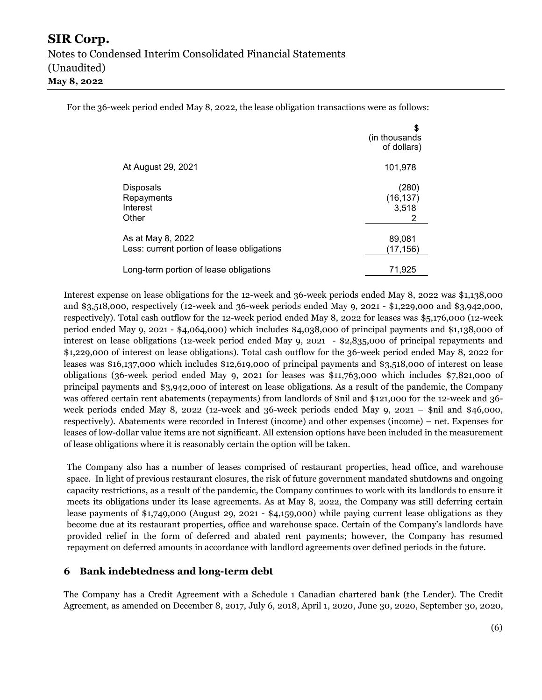For the 36-week period ended May 8, 2022, the lease obligation transactions were as follows:

|                                                                 | S<br>(in thousands)<br>of dollars) |
|-----------------------------------------------------------------|------------------------------------|
| At August 29, 2021                                              | 101,978                            |
| <b>Disposals</b><br>Repayments<br>Interest<br>Other             | (280)<br>(16, 137)<br>3,518<br>2   |
| As at May 8, 2022<br>Less: current portion of lease obligations | 89,081<br>(17,156)                 |
| Long-term portion of lease obligations                          | 71,925                             |

Interest expense on lease obligations for the 12-week and 36-week periods ended May 8, 2022 was \$1,138,000 and \$3,518,000, respectively (12-week and 36-week periods ended May 9, 2021 - \$1,229,000 and \$3,942,000, respectively). Total cash outflow for the 12-week period ended May 8, 2022 for leases was \$5,176,000 (12-week period ended May 9, 2021 - \$4,064,000) which includes \$4,038,000 of principal payments and \$1,138,000 of interest on lease obligations (12-week period ended May 9, 2021 - \$2,835,000 of principal repayments and \$1,229,000 of interest on lease obligations). Total cash outflow for the 36-week period ended May 8, 2022 for leases was \$16,137,000 which includes \$12,619,000 of principal payments and \$3,518,000 of interest on lease obligations (36-week period ended May 9, 2021 for leases was \$11,763,000 which includes \$7,821,000 of principal payments and \$3,942,000 of interest on lease obligations. As a result of the pandemic, the Company was offered certain rent abatements (repayments) from landlords of \$nil and \$121,000 for the 12-week and 36 week periods ended May 8, 2022 (12-week and 36-week periods ended May 9, 2021 – \$nil and \$46,000, respectively). Abatements were recorded in Interest (income) and other expenses (income) – net. Expenses for leases of low-dollar value items are not significant. All extension options have been included in the measurement of lease obligations where it is reasonably certain the option will be taken.

The Company also has a number of leases comprised of restaurant properties, head office, and warehouse space. In light of previous restaurant closures, the risk of future government mandated shutdowns and ongoing capacity restrictions, as a result of the pandemic, the Company continues to work with its landlords to ensure it meets its obligations under its lease agreements. As at May 8, 2022, the Company was still deferring certain lease payments of \$1,749,000 (August 29, 2021 - \$4,159,000) while paying current lease obligations as they become due at its restaurant properties, office and warehouse space. Certain of the Company's landlords have provided relief in the form of deferred and abated rent payments; however, the Company has resumed repayment on deferred amounts in accordance with landlord agreements over defined periods in the future.

#### 6 Bank indebtedness and long-term debt

The Company has a Credit Agreement with a Schedule 1 Canadian chartered bank (the Lender). The Credit Agreement, as amended on December 8, 2017, July 6, 2018, April 1, 2020, June 30, 2020, September 30, 2020,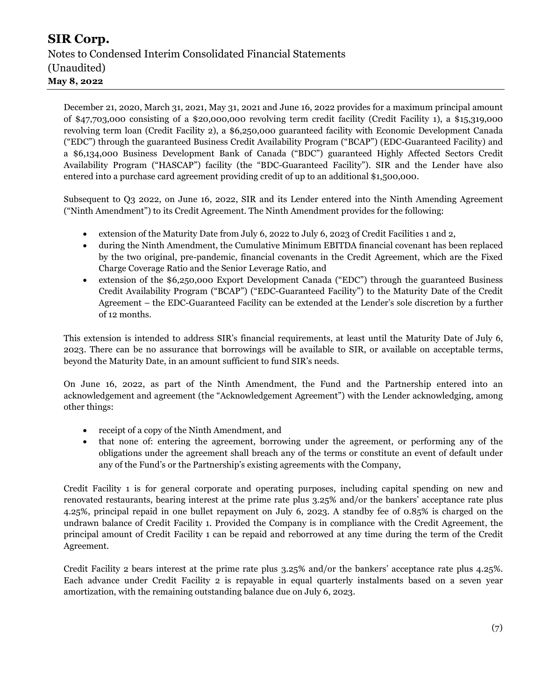December 21, 2020, March 31, 2021, May 31, 2021 and June 16, 2022 provides for a maximum principal amount of \$47,703,000 consisting of a \$20,000,000 revolving term credit facility (Credit Facility 1), a \$15,319,000 revolving term loan (Credit Facility 2), a \$6,250,000 guaranteed facility with Economic Development Canada ("EDC") through the guaranteed Business Credit Availability Program ("BCAP") (EDC-Guaranteed Facility) and a \$6,134,000 Business Development Bank of Canada ("BDC") guaranteed Highly Affected Sectors Credit Availability Program ("HASCAP") facility (the "BDC-Guaranteed Facility"). SIR and the Lender have also entered into a purchase card agreement providing credit of up to an additional \$1,500,000.

Subsequent to Q3 2022, on June 16, 2022, SIR and its Lender entered into the Ninth Amending Agreement ("Ninth Amendment") to its Credit Agreement. The Ninth Amendment provides for the following:

- extension of the Maturity Date from July 6, 2022 to July 6, 2023 of Credit Facilities 1 and 2,
- during the Ninth Amendment, the Cumulative Minimum EBITDA financial covenant has been replaced by the two original, pre-pandemic, financial covenants in the Credit Agreement, which are the Fixed Charge Coverage Ratio and the Senior Leverage Ratio, and
- extension of the \$6,250,000 Export Development Canada ("EDC") through the guaranteed Business Credit Availability Program ("BCAP") ("EDC-Guaranteed Facility") to the Maturity Date of the Credit Agreement – the EDC-Guaranteed Facility can be extended at the Lender's sole discretion by a further of 12 months.

This extension is intended to address SIR's financial requirements, at least until the Maturity Date of July 6, 2023. There can be no assurance that borrowings will be available to SIR, or available on acceptable terms, beyond the Maturity Date, in an amount sufficient to fund SIR's needs.

On June 16, 2022, as part of the Ninth Amendment, the Fund and the Partnership entered into an acknowledgement and agreement (the "Acknowledgement Agreement") with the Lender acknowledging, among other things:

- receipt of a copy of the Ninth Amendment, and
- that none of: entering the agreement, borrowing under the agreement, or performing any of the obligations under the agreement shall breach any of the terms or constitute an event of default under any of the Fund's or the Partnership's existing agreements with the Company,

Credit Facility 1 is for general corporate and operating purposes, including capital spending on new and renovated restaurants, bearing interest at the prime rate plus 3.25% and/or the bankers' acceptance rate plus 4.25%, principal repaid in one bullet repayment on July 6, 2023. A standby fee of 0.85% is charged on the undrawn balance of Credit Facility 1. Provided the Company is in compliance with the Credit Agreement, the principal amount of Credit Facility 1 can be repaid and reborrowed at any time during the term of the Credit Agreement.

Credit Facility 2 bears interest at the prime rate plus 3.25% and/or the bankers' acceptance rate plus 4.25%. Each advance under Credit Facility 2 is repayable in equal quarterly instalments based on a seven year amortization, with the remaining outstanding balance due on July 6, 2023.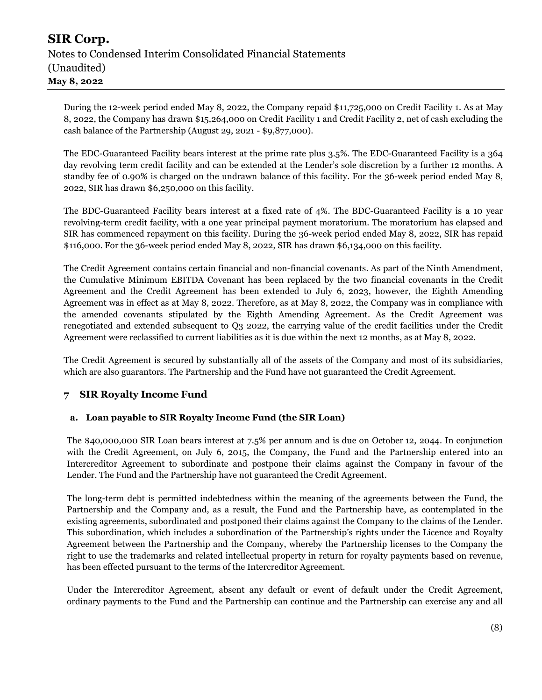During the 12-week period ended May 8, 2022, the Company repaid \$11,725,000 on Credit Facility 1. As at May 8, 2022, the Company has drawn \$15,264,000 on Credit Facility 1 and Credit Facility 2, net of cash excluding the cash balance of the Partnership (August 29, 2021 - \$9,877,000).

The EDC-Guaranteed Facility bears interest at the prime rate plus 3.5%. The EDC-Guaranteed Facility is a 364 day revolving term credit facility and can be extended at the Lender's sole discretion by a further 12 months. A standby fee of 0.90% is charged on the undrawn balance of this facility. For the 36-week period ended May 8, 2022, SIR has drawn \$6,250,000 on this facility.

The BDC-Guaranteed Facility bears interest at a fixed rate of 4%. The BDC-Guaranteed Facility is a 10 year revolving-term credit facility, with a one year principal payment moratorium. The moratorium has elapsed and SIR has commenced repayment on this facility. During the 36-week period ended May 8, 2022, SIR has repaid \$116,000. For the 36-week period ended May 8, 2022, SIR has drawn \$6,134,000 on this facility.

The Credit Agreement contains certain financial and non-financial covenants. As part of the Ninth Amendment, the Cumulative Minimum EBITDA Covenant has been replaced by the two financial covenants in the Credit Agreement and the Credit Agreement has been extended to July 6, 2023, however, the Eighth Amending Agreement was in effect as at May 8, 2022. Therefore, as at May 8, 2022, the Company was in compliance with the amended covenants stipulated by the Eighth Amending Agreement. As the Credit Agreement was renegotiated and extended subsequent to Q3 2022, the carrying value of the credit facilities under the Credit Agreement were reclassified to current liabilities as it is due within the next 12 months, as at May 8, 2022.

The Credit Agreement is secured by substantially all of the assets of the Company and most of its subsidiaries, which are also guarantors. The Partnership and the Fund have not guaranteed the Credit Agreement.

### 7 SIR Royalty Income Fund

#### a. Loan payable to SIR Royalty Income Fund (the SIR Loan)

The \$40,000,000 SIR Loan bears interest at 7.5% per annum and is due on October 12, 2044. In conjunction with the Credit Agreement, on July 6, 2015, the Company, the Fund and the Partnership entered into an Intercreditor Agreement to subordinate and postpone their claims against the Company in favour of the Lender. The Fund and the Partnership have not guaranteed the Credit Agreement.

The long-term debt is permitted indebtedness within the meaning of the agreements between the Fund, the Partnership and the Company and, as a result, the Fund and the Partnership have, as contemplated in the existing agreements, subordinated and postponed their claims against the Company to the claims of the Lender. This subordination, which includes a subordination of the Partnership's rights under the Licence and Royalty Agreement between the Partnership and the Company, whereby the Partnership licenses to the Company the right to use the trademarks and related intellectual property in return for royalty payments based on revenue, has been effected pursuant to the terms of the Intercreditor Agreement.

Under the Intercreditor Agreement, absent any default or event of default under the Credit Agreement, ordinary payments to the Fund and the Partnership can continue and the Partnership can exercise any and all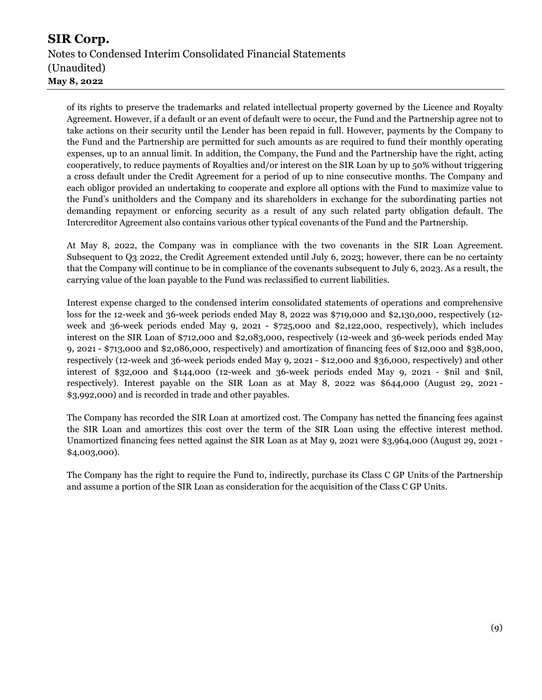of its rights to preserve the trademarks and related intellectual property governed by the Licence and Royalty Agreement. However, if a default or an event of default were to occur, the Fund and the Partnership agree not to take actions on their security until the Lender has been repaid in full. However, payments by the Company to the Fund and the Partnership are permitted for such amounts as are required to fund their monthly operating expenses, up to an annual limit. In addition, the Company, the Fund and the Partnership have the right, acting cooperatively, to reduce payments of Royalties and/or interest on the SIR Loan by up to 50% without triggering a cross default under the Credit Agreement for a period of up to nine consecutive months. The Company and each obligor provided an undertaking to cooperate and explore all options with the Fund to maximize value to the Fund's unitholders and the Company and its shareholders in exchange for the subordinating parties not demanding repayment or enforcing security as a result of any such related party obligation default. The Intercreditor Agreement also contains various other typical covenants of the Fund and the Partnership.

At May 8, 2022, the Company was in compliance with the two covenants in the SIR Loan Agreement. Subsequent to Q3 2022, the Credit Agreement extended until July 6, 2023; however, there can be no certainty that the Company will continue to be in compliance of the covenants subsequent to July 6, 2023. As a result, the carrying value of the loan payable to the Fund was reclassified to current liabilities.

Interest expense charged to the condensed interim consolidated statements of operations and comprehensive loss for the 12-week and 36-week periods ended May 8, 2022 was \$719,000 and \$2,130,000, respectively (12 week and 36-week periods ended May 9, 2021 - \$725,000 and \$2,122,000, respectively), which includes interest on the SIR Loan of \$712,000 and \$2,083,000, respectively (12-week and 36-week periods ended May 9, 2021 - \$713,000 and \$2,086,000, respectively) and amortization of financing fees of \$12,000 and \$38,000, respectively (12-week and 36-week periods ended May 9, 2021 - \$12,000 and \$36,000, respectively) and other interest of \$32,000 and \$144,000 (12-week and 36-week periods ended May 9, 2021 - \$nil and \$nil, respectively). Interest payable on the SIR Loan as at May 8, 2022 was \$644,000 (August 29, 2021 - \$3,992,000) and is recorded in trade and other payables.

The Company has recorded the SIR Loan at amortized cost. The Company has netted the financing fees against the SIR Loan and amortizes this cost over the term of the SIR Loan using the effective interest method. Unamortized financing fees netted against the SIR Loan as at May 9, 2021 were \$3,964,000 (August 29, 2021 - \$4,003,000).

The Company has the right to require the Fund to, indirectly, purchase its Class C GP Units of the Partnership and assume a portion of the SIR Loan as consideration for the acquisition of the Class C GP Units.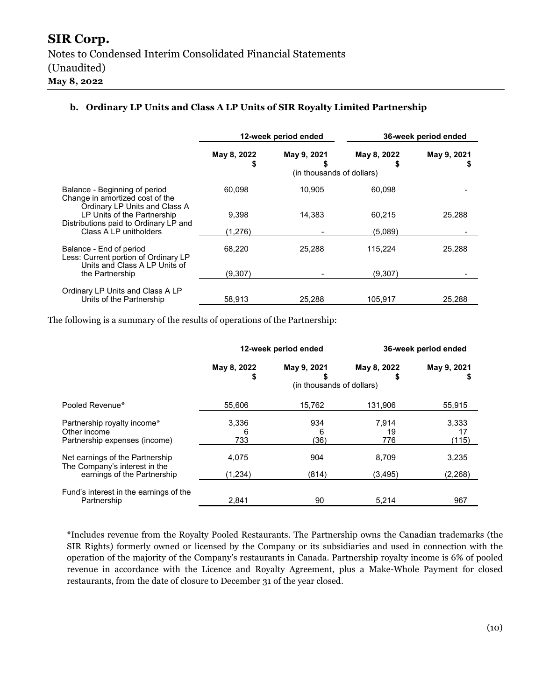#### b. Ordinary LP Units and Class A LP Units of SIR Royalty Limited Partnership

|                                                                                                   | 12-week period ended |                                          |                  | 36-week period ended |
|---------------------------------------------------------------------------------------------------|----------------------|------------------------------------------|------------------|----------------------|
|                                                                                                   | May 8, 2022<br>S     | May 9, 2021<br>(in thousands of dollars) | May 8, 2022<br>S | May 9, 2021          |
| Balance - Beginning of period<br>Change in amortized cost of the<br>Ordinary LP Units and Class A | 60,098               | 10,905                                   | 60,098           |                      |
| LP Units of the Partnership                                                                       | 9.398                | 14.383                                   | 60.215           | 25.288               |
| Distributions paid to Ordinary LP and<br>Class A LP unitholders                                   | (1,276)              |                                          | (5,089)          |                      |
| Balance - End of period<br>Less: Current portion of Ordinary LP                                   | 68.220               | 25.288                                   | 115,224          | 25,288               |
| Units and Class A LP Units of<br>the Partnership                                                  | (9,307)              |                                          | (9,307)          |                      |
| Ordinary LP Units and Class A LP<br>Units of the Partnership                                      | 58.913               | 25.288                                   | 105.917          | 25.288               |

The following is a summary of the results of operations of the Partnership:

|                                                                                                 | 12-week period ended |                                          |                    | 36-week period ended |
|-------------------------------------------------------------------------------------------------|----------------------|------------------------------------------|--------------------|----------------------|
|                                                                                                 | May 8, 2022<br>\$    | May 9, 2021<br>(in thousands of dollars) | May 8, 2022        | May 9, 2021<br>5     |
| Pooled Revenue*                                                                                 | 55,606               | 15,762                                   | 131,906            | 55,915               |
| Partnership royalty income*<br>Other income<br>Partnership expenses (income)                    | 3,336<br>6<br>733    | 934<br>6<br>(36)                         | 7.914<br>19<br>776 | 3,333<br>17<br>(115) |
| Net earnings of the Partnership<br>The Company's interest in the<br>earnings of the Partnership | 4,075<br>(1,234)     | 904<br>(814)                             | 8.709<br>(3,495)   | 3,235<br>(2,268)     |
| Fund's interest in the earnings of the<br>Partnership                                           | 2.841                | 90                                       | 5,214              | 967                  |

\*Includes revenue from the Royalty Pooled Restaurants. The Partnership owns the Canadian trademarks (the SIR Rights) formerly owned or licensed by the Company or its subsidiaries and used in connection with the operation of the majority of the Company's restaurants in Canada. Partnership royalty income is 6% of pooled revenue in accordance with the Licence and Royalty Agreement, plus a Make-Whole Payment for closed restaurants, from the date of closure to December 31 of the year closed.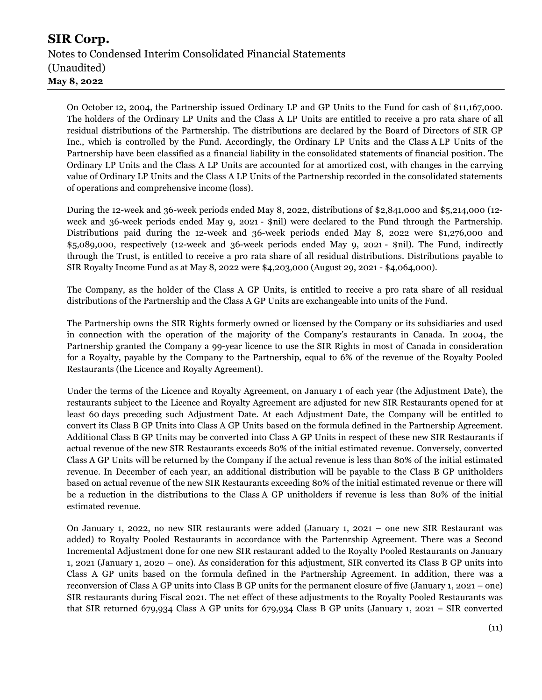On October 12, 2004, the Partnership issued Ordinary LP and GP Units to the Fund for cash of \$11,167,000. The holders of the Ordinary LP Units and the Class A LP Units are entitled to receive a pro rata share of all residual distributions of the Partnership. The distributions are declared by the Board of Directors of SIR GP Inc., which is controlled by the Fund. Accordingly, the Ordinary LP Units and the Class A LP Units of the Partnership have been classified as a financial liability in the consolidated statements of financial position. The Ordinary LP Units and the Class A LP Units are accounted for at amortized cost, with changes in the carrying value of Ordinary LP Units and the Class A LP Units of the Partnership recorded in the consolidated statements of operations and comprehensive income (loss).

During the 12-week and 36-week periods ended May 8, 2022, distributions of \$2,841,000 and \$5,214,000 (12 week and 36-week periods ended May 9, 2021 - \$nil) were declared to the Fund through the Partnership. Distributions paid during the 12-week and 36-week periods ended May 8, 2022 were \$1,276,000 and \$5,089,000, respectively (12-week and 36-week periods ended May 9, 2021 - \$nil). The Fund, indirectly through the Trust, is entitled to receive a pro rata share of all residual distributions. Distributions payable to SIR Royalty Income Fund as at May 8, 2022 were \$4,203,000 (August 29, 2021 - \$4,064,000).

The Company, as the holder of the Class A GP Units, is entitled to receive a pro rata share of all residual distributions of the Partnership and the Class A GP Units are exchangeable into units of the Fund.

The Partnership owns the SIR Rights formerly owned or licensed by the Company or its subsidiaries and used in connection with the operation of the majority of the Company's restaurants in Canada. In 2004, the Partnership granted the Company a 99-year licence to use the SIR Rights in most of Canada in consideration for a Royalty, payable by the Company to the Partnership, equal to 6% of the revenue of the Royalty Pooled Restaurants (the Licence and Royalty Agreement).

Under the terms of the Licence and Royalty Agreement, on January 1 of each year (the Adjustment Date), the restaurants subject to the Licence and Royalty Agreement are adjusted for new SIR Restaurants opened for at least 60 days preceding such Adjustment Date. At each Adjustment Date, the Company will be entitled to convert its Class B GP Units into Class A GP Units based on the formula defined in the Partnership Agreement. Additional Class B GP Units may be converted into Class A GP Units in respect of these new SIR Restaurants if actual revenue of the new SIR Restaurants exceeds 80% of the initial estimated revenue. Conversely, converted Class A GP Units will be returned by the Company if the actual revenue is less than 80% of the initial estimated revenue. In December of each year, an additional distribution will be payable to the Class B GP unitholders based on actual revenue of the new SIR Restaurants exceeding 80% of the initial estimated revenue or there will be a reduction in the distributions to the Class A GP unitholders if revenue is less than 80% of the initial estimated revenue.

On January 1, 2022, no new SIR restaurants were added (January 1, 2021 – one new SIR Restaurant was added) to Royalty Pooled Restaurants in accordance with the Partenrship Agreement. There was a Second Incremental Adjustment done for one new SIR restaurant added to the Royalty Pooled Restaurants on January 1, 2021 (January 1, 2020 – one). As consideration for this adjustment, SIR converted its Class B GP units into Class A GP units based on the formula defined in the Partnership Agreement. In addition, there was a reconversion of Class A GP units into Class B GP units for the permanent closure of five (January 1, 2021 – one) SIR restaurants during Fiscal 2021. The net effect of these adjustments to the Royalty Pooled Restaurants was that SIR returned 679,934 Class A GP units for 679,934 Class B GP units (January 1, 2021 – SIR converted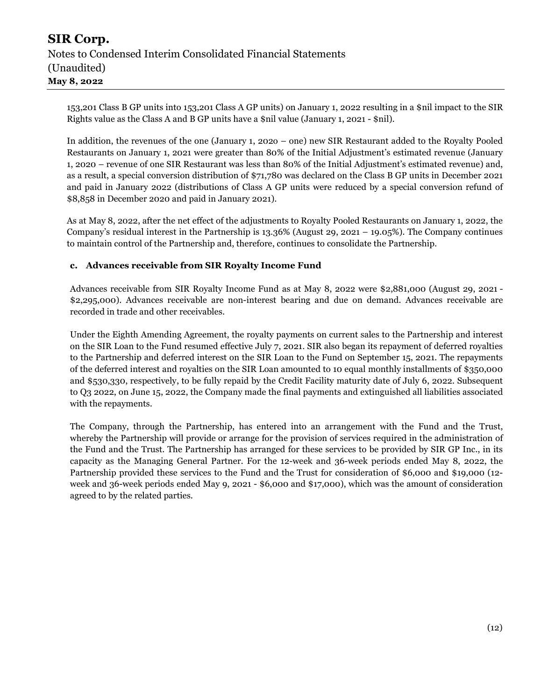153,201 Class B GP units into 153,201 Class A GP units) on January 1, 2022 resulting in a \$nil impact to the SIR Rights value as the Class A and B GP units have a \$nil value (January 1, 2021 - \$nil).

In addition, the revenues of the one (January 1, 202o – one) new SIR Restaurant added to the Royalty Pooled Restaurants on January 1, 2021 were greater than 80% of the Initial Adjustment's estimated revenue (January 1, 2020 – revenue of one SIR Restaurant was less than 80% of the Initial Adjustment's estimated revenue) and, as a result, a special conversion distribution of \$71,780 was declared on the Class B GP units in December 2021 and paid in January 2022 (distributions of Class A GP units were reduced by a special conversion refund of \$8,858 in December 2020 and paid in January 2021).

As at May 8, 2022, after the net effect of the adjustments to Royalty Pooled Restaurants on January 1, 2022, the Company's residual interest in the Partnership is 13.36% (August 29, 2021 – 19.05%). The Company continues to maintain control of the Partnership and, therefore, continues to consolidate the Partnership.

#### c. Advances receivable from SIR Royalty Income Fund

Advances receivable from SIR Royalty Income Fund as at May 8, 2022 were \$2,881,000 (August 29, 2021 - \$2,295,000). Advances receivable are non-interest bearing and due on demand. Advances receivable are recorded in trade and other receivables.

Under the Eighth Amending Agreement, the royalty payments on current sales to the Partnership and interest on the SIR Loan to the Fund resumed effective July 7, 2021. SIR also began its repayment of deferred royalties to the Partnership and deferred interest on the SIR Loan to the Fund on September 15, 2021. The repayments of the deferred interest and royalties on the SIR Loan amounted to 10 equal monthly installments of \$350,000 and \$530,330, respectively, to be fully repaid by the Credit Facility maturity date of July 6, 2022. Subsequent to Q3 2022, on June 15, 2022, the Company made the final payments and extinguished all liabilities associated with the repayments.

The Company, through the Partnership, has entered into an arrangement with the Fund and the Trust, whereby the Partnership will provide or arrange for the provision of services required in the administration of the Fund and the Trust. The Partnership has arranged for these services to be provided by SIR GP Inc., in its capacity as the Managing General Partner. For the 12-week and 36-week periods ended May 8, 2022, the Partnership provided these services to the Fund and the Trust for consideration of \$6,000 and \$19,000 (12 week and 36-week periods ended May 9, 2021 - \$6,000 and \$17,000), which was the amount of consideration agreed to by the related parties.